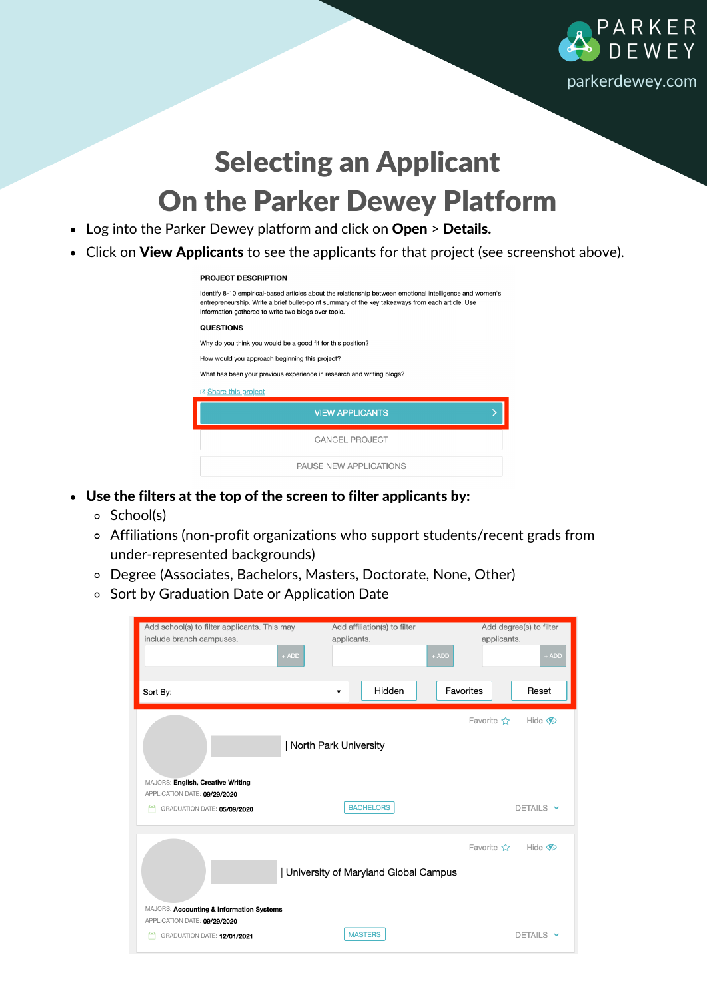

## Selecting an Applicant On the Parker Dewey Platform

- Log into the Parker Dewey platform and click on Open > Details.
- Click on View Applicants to see the applicants for that project (see screenshot above).

## **PROJECT DESCRIPTION**

| Identify 8-10 empirical-based articles about the relationship between emotional intelligence and women's<br>entrepreneurship. Write a brief bullet-point summary of the key takeaways from each article. Use<br>information gathered to write two blogs over topic. |  |  |  |
|---------------------------------------------------------------------------------------------------------------------------------------------------------------------------------------------------------------------------------------------------------------------|--|--|--|
| <b>QUESTIONS</b>                                                                                                                                                                                                                                                    |  |  |  |
| Why do you think you would be a good fit for this position?                                                                                                                                                                                                         |  |  |  |
| How would you approach beginning this project?                                                                                                                                                                                                                      |  |  |  |
| What has been your previous experience in research and writing blogs?                                                                                                                                                                                               |  |  |  |
| <b>B</b> Share this project                                                                                                                                                                                                                                         |  |  |  |
| <b>VIEW APPLICANTS</b>                                                                                                                                                                                                                                              |  |  |  |
| <b>CANCEL PROJECT</b>                                                                                                                                                                                                                                               |  |  |  |
| PAUSE NEW APPLICATIONS                                                                                                                                                                                                                                              |  |  |  |

- Use the filters at the top of the screen to filter applicants by:
	- School(s)
	- Affiliations (non-profit organizations who support students/recent grads from under-represented backgrounds)
	- Degree (Associates, Bachelors, Masters, Doctorate, None, Other)
	- o Sort by Graduation Date or Application Date

| Add school(s) to filter applicants. This may<br>include branch campuses.<br>$+$ ADD                                                                                                                          | Add affiliation(s) to filter<br>applicants. | Add degree(s) to filter<br>applicants.<br>$+$ ADD | $+$ ADD   |  |
|--------------------------------------------------------------------------------------------------------------------------------------------------------------------------------------------------------------|---------------------------------------------|---------------------------------------------------|-----------|--|
| Sort By:                                                                                                                                                                                                     | Hidden<br>$\overline{\mathbf{v}}$           | Favorites                                         | Reset     |  |
| Favorite $\frac{1}{2}$<br>Hide $\mathcal{D}$<br>  North Park University<br>MAJORS: English, Creative Writing<br>APPLICATION DATE: 09/29/2020<br><b>BACHELORS</b><br>DETAILS Y<br>GRADUATION DATE: 05/09/2020 |                                             |                                                   |           |  |
| Favorite ☆<br>Hide $\mathcal{D}$<br>University of Maryland Global Campus<br>MAJORS: Accounting & Information Systems                                                                                         |                                             |                                                   |           |  |
| APPLICATION DATE: 09/29/2020<br>GRADUATION DATE: 12/01/2021                                                                                                                                                  | <b>MASTERS</b>                              |                                                   | DETAILS Y |  |